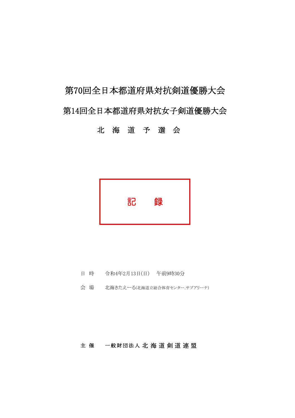# 第70回全日本都道府県対抗剣道優勝大会 第14回全日本都道府県対抗女子剣道優勝大会

# 北海道予選会



- 日 時 令和4年2月13日(日) 午前9時30分
- 会場 北海きたえーる(北海道立総合体育センター.サブアリーナ)

#### 主催 一般財団法人 北海道 剣道 連盟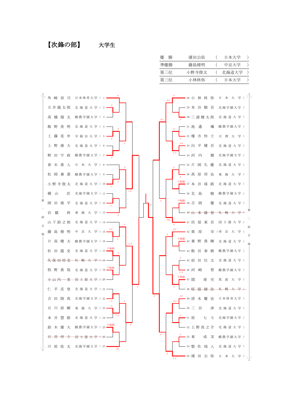【次鋒の部】

 $\triangleq$ 

搜

大学生

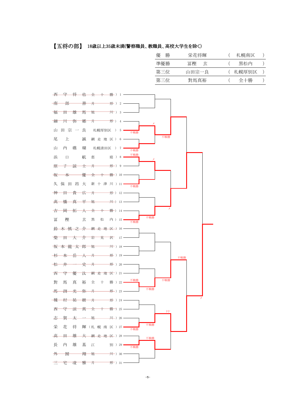【五将の部】 18歳以上35歳未満(警察職員、教職員、高校大学生を除く)

| 優<br>勝 | 栄花将輝        | 札幌南区  |  |
|--------|-------------|-------|--|
| 進優勝    | 冨樫<br>— रंट | 黒松内   |  |
| 第三位    | 山田宗一良       | 札幌厚別区 |  |
| 第三位    | 對馬真裕        | 全十勝   |  |

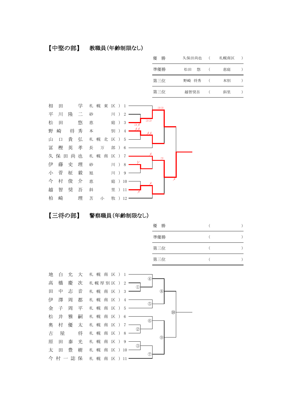#### 【中堅の部】 教職員(年齢制限なし)

| 儫<br>勝 | 久保田尚也   | 札幌南区 |  |
|--------|---------|------|--|
| 準優勝    | 悠<br>松田 | 恵庭   |  |
| 第三位    | 野崎 将秀   | 本別   |  |
| 第三位    | 越智奨吾    | 斜里   |  |





| 勝<br>優 |  |
|--------|--|
| 準優勝    |  |
| 第三位    |  |
| 第三位    |  |

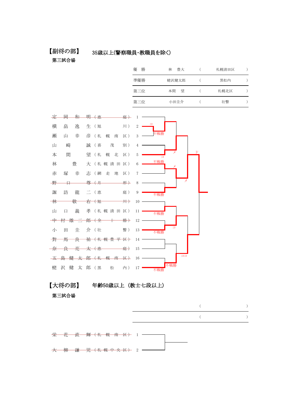#### 【副将の部】

#### 35歳以上(警察職員・教職員を除く)

第三試合場

| 勝<br>優 | 豊大<br>林 | 札幌清田区 |  |
|--------|---------|-------|--|
| 準優勝    | 蛯沢健太郎   | 黒松内   |  |
| 第三位    | 望<br>本間 | 札幌北区  |  |
| 第三位    | 小田圭介    | 壮瞥    |  |



【大将の部】 年齢50歳以上(教士七段以上)

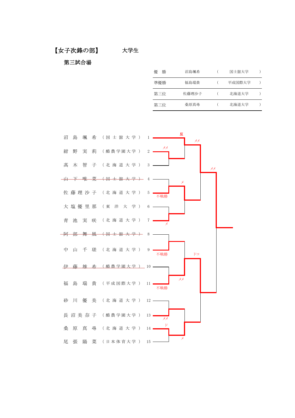#### 【女子次鋒の部】 大学生

| 優<br>勝 | 沼島颯希  | 国士舘大学  |  |
|--------|-------|--------|--|
| 準優勝    | 福島瑞貴  | 平成国際大学 |  |
| 第三位    | 佐藤理沙子 | 北海道大学  |  |
| 第三位    | 桑原真尋  | 北海道大学  |  |

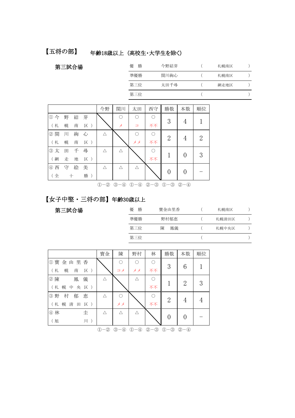【五将の部】 年齢18歳以上 (高校生・大学生を除く)

第三試合場

| 優<br>勝 | 今野結芽 | 札幌南区 |  |
|--------|------|------|--|
| 準優勝    | 関川絢心 | 札幌南区 |  |
| 第三位    | 太田千尋 | 網走地区 |  |
| 第三位    |      |      |  |

|                                     |    |   |     | 今野 | 関川         | 太田     | 西守 | 勝数             | 本数               | 順位 |
|-------------------------------------|----|---|-----|----|------------|--------|----|----------------|------------------|----|
| $\textcircled{\scriptsize{1}}$<br>今 | 野  | 結 | 芽   |    | $\bigcirc$ | ∩      |    | 3              |                  |    |
| (札                                  | 幌  | 南 | 区)  |    | メ          | $\Box$ | 不不 |                | 4                |    |
| 2 関                                 | ЛI | 絢 | 心   | Δ  |            | ∩      |    | $\overline{2}$ |                  | 2  |
| (札                                  | 幌  | 南 | 区)  |    |            | メメ     | 不不 |                | 4                |    |
| 3太                                  | 田  | 千 | 尋   | Λ  | Δ          |        |    |                |                  | 3  |
| (網                                  | 走  | 地 | 区)  |    |            |        | 不不 |                | $\theta$         |    |
| 4 西                                 | 守  | 絵 | 美   | Λ  | Λ          | Λ      |    | 0              |                  |    |
| (全                                  |    | ┿ | 勝 ) |    |            |        |    |                | $\left( \right)$ |    |

 $0-2$   $0-4$   $0-4$   $2-3$   $0-3$   $2-4$ 

## 【女子中堅・三将の部】年齢30歳以上

| 優<br>勝 | 寳金由里香   | 札幌南区  |  |
|--------|---------|-------|--|
| 準優勝    | 野村郁恵    | 札幌清田区 |  |
| 第三位    | 陳<br>鳳儀 | 札幌中央区 |  |
| 第三位    |         |       |  |

|                         | 寳金         | 陳                                              | 野村           | 林      | 勝数                      | 本数             | 順位 |
|-------------------------|------------|------------------------------------------------|--------------|--------|-------------------------|----------------|----|
| ①寳<br>金由里<br>香          |            | O                                              |              | O      |                         |                |    |
| (札<br>幌<br>南<br>区)      |            | コメ                                             | メメ           | 不不     | 3                       | 6              |    |
| 2 陳<br>儀<br>鳳           | Λ          |                                                |              | €      |                         |                |    |
| (札<br>幌<br>中<br>央<br>区) |            |                                                |              | 不不     |                         | $\overline{2}$ | 3  |
| 3野<br>村<br>恵<br>郁       | Λ          | $\bigcirc$                                     |              | ∩      |                         |                |    |
| (札<br>清<br>幌<br>区)<br>田 |            | メメ                                             |              | 不不     | $\overline{2}$          | 4              |    |
| ④林<br>圭                 | Λ          | Δ                                              |              |        |                         |                |    |
| (旭<br>$J\vert\vert$ )   |            |                                                |              |        | $\Omega$                | 0              |    |
|                         | $-$ ②<br>① | ③<br>$\circled{4}$<br>$\overline{\phantom{0}}$ | (I)<br>$-$ 4 | 2<br>③ | $\mathbb{O}-\mathbb{S}$ | $2 - 4$        |    |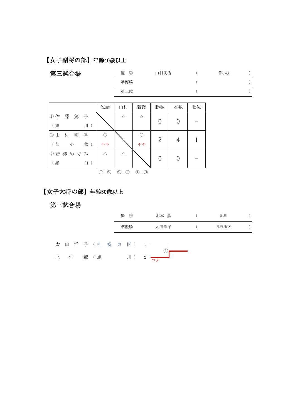# 【女子副将の部】年齢40歳以上

| 第三試合場                  |                           | 優<br>勝<br>山村明香 |                           |                |                |    | 苫小牧 |                  |
|------------------------|---------------------------|----------------|---------------------------|----------------|----------------|----|-----|------------------|
|                        |                           | 準優勝            |                           |                |                |    |     |                  |
|                        |                           | 第三位            |                           |                |                |    |     | $\left( \right)$ |
|                        |                           |                |                           |                |                |    |     |                  |
|                        | 佐藤                        | 山村             | 若澤                        | 勝数             | 本数             | 順位 |     |                  |
| 篤<br>藤<br>①佐<br>子      |                           | $\triangle$    | $\triangle$               |                |                |    |     |                  |
| (旭<br>$J\parallel$ $)$ |                           |                |                           | $\overline{0}$ | $\overline{0}$ |    |     |                  |
| 村<br>明<br>香<br>②山      | $\bigcirc$                |                | $\bigcirc$                | $\overline{2}$ |                |    |     |                  |
| (苫<br>牧 )<br>小         | 不不                        |                | 不不                        |                | 4              |    |     |                  |
| ④ 若 澤 め ぐ み            | Δ                         | $\triangle$    |                           | $\overline{0}$ | $\overline{0}$ |    |     |                  |
| (羅<br>臼)               |                           |                |                           |                |                |    |     |                  |
|                        | $\mathbb{O} - \mathbb{Q}$ | $2 - 3$        | $\mathbb{O} - \mathbb{O}$ |                |                |    |     |                  |

# 【女子大将の部】年齢50歳以上

|     |  |                   | 優 | 勝               |                | 北本 薫    |  | 旭川   |  |
|-----|--|-------------------|---|-----------------|----------------|---------|--|------|--|
|     |  |                   |   | 準優勝             |                | 太田洋子    |  | 札幌東区 |  |
|     |  | 太 田 洋 子 (札 幌 東 区) |   |                 |                |         |  |      |  |
| 北 本 |  | 薫 (旭              |   | $J\vert\vert$ ) | $\overline{c}$ | I<br>コメ |  |      |  |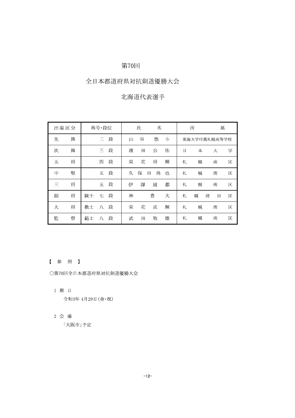## 第70回

## 全日本都道府県対抗剣道優勝大会

## 北海道代表選手

|   | 出場区分 | 称号·段位         | 氏<br>名 |   |        | 所 | 属 |              |   |   |
|---|------|---------------|--------|---|--------|---|---|--------------|---|---|
| 先 | 鋒    | 段<br>三        | 山      | 谷 | 悠      | 斗 |   | 東海大学付属札幌高等学校 |   |   |
| 次 | 鋒    | 段<br>Ξ        | 濱      | 田 | 公      | 佑 | Η | 本            | 大 | 学 |
| 五 | 将    | 段<br>匹        | 栄      | 花 | 将      | 輝 | 札 | 幌            | 南 | 区 |
| 中 | 堅    | 段<br>五        | 久      | 保 | 尚<br>田 | 也 | 札 | 幌            | 南 | 区 |
| Ξ | 将    | 段<br>五        | 伊      | 澤 | 周      | 都 | 札 | 幌            | 南 | 区 |
| 副 | 将    | 錬士<br>一段<br>七 | 林      |   | 豊      | 大 | 札 | 幌<br>清       | 田 | 区 |
| 大 | 将    | 八段<br>教士      | 栄      | 花 | 直      | 輝 | 札 | 幌            | 南 | 区 |
| 監 | 督    | 段<br>範士<br>八  | 武      | 田 | 牧      | 雄 | 札 | 幌            | 南 | 区 |

#### 【参照】

○第70回全日本都道府県対抗剣道優勝大会

- 1 期 日 令和3年 4月29日 (金·祝)
- 2 会 場

「大阪市」予定